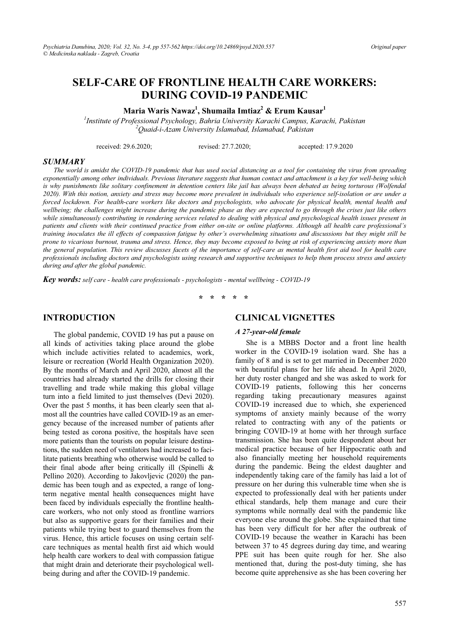# **SELF-CARE OF FRONTLINE HEALTH CARE WORKERS: DURING COVID-19 PANDEMIC**

**Maria Waris Nawaz1 , Shumaila Imtiaz2 & Erum Kausar1**

*1 Institute of Professional Psychology, Bahria University Karachi Campus, Karachi, Pakistan 2 Quaid-i-Azam University Islamabad, Islamabad, Pakistan*

received: 29.6.2020; revised: 27.7.2020; accepted: 17.9.2020

#### *SUMMARY*

*The world is amidst the COVID-19 pandemic that has used social distancing as a tool for containing the virus from spreading exponentially among other individuals. Previous literature suggests that human contact and attachment is a key for well-being which*  is why punishments like solitary confinement in detention centers like jail has always been debated as being torturous (Wolfendal *2020). With this notion, anxiety and stress may become more prevalent in individuals who experience self-isolation or are under a forced lockdown. For health-care workers like doctors and psychologists, who advocate for physical health, mental health and wellbeing; the challenges might increase during the pandemic phase as they are expected to go through the crises just like others while simultaneously contributing in rendering services related to dealing with physical and psychological health issues present in patients and clients with their continued practice from either on-site or online platforms. Although all health care professional's training inoculates the ill effects of compassion fatigue by other's overwhelming situations and discussions but they might still be prone to vicarious burnout, trauma and stress. Hence, they may become exposed to being at risk of experiencing anxiety more than the general population. This review discusses facets of the importance of self-care as mental health first aid tool for health care professionals including doctors and psychologists using research and supportive techniques to help them process stress and anxiety during and after the global pandemic.* 

*Key words: self care - health care professionals - psychologists - mental wellbeing - COVID-19* 

**\* \* \* \* \*** 

#### **INTRODUCTION**

The global pandemic, COVID 19 has put a pause on all kinds of activities taking place around the globe which include activities related to academics, work, leisure or recreation (World Health Organization 2020). By the months of March and April 2020, almost all the countries had already started the drills for closing their travelling and trade while making this global village turn into a field limited to just themselves (Devi 2020). Over the past 5 months, it has been clearly seen that almost all the countries have called COVID-19 as an emergency because of the increased number of patients after being tested as corona positive, the hospitals have seen more patients than the tourists on popular leisure destinations, the sudden need of ventilators had increased to facilitate patients breathing who otherwise would be called to their final abode after being critically ill (Spinelli & Pellino 2020). According to Jakovljevic (2020) the pandemic has been tough and as expected, a range of longterm negative mental health consequences might have been faced by individuals especially the frontline healthcare workers, who not only stood as frontline warriors but also as supportive gears for their families and their patients while trying best to guard themselves from the virus. Hence, this article focuses on using certain selfcare techniques as mental health first aid which would help health care workers to deal with compassion fatigue that might drain and deteriorate their psychological wellbeing during and after the COVID-19 pandemic.

#### **CLINICAL VIGNETTES**

#### *A 27-year-old female*

She is a MBBS Doctor and a front line health worker in the COVID-19 isolation ward. She has a family of 8 and is set to get married in December 2020 with beautiful plans for her life ahead. In April 2020, her duty roster changed and she was asked to work for COVID-19 patients, following this her concerns regarding taking precautionary measures against COVID-19 increased due to which, she experienced symptoms of anxiety mainly because of the worry related to contracting with any of the patients or bringing COVID-19 at home with her through surface transmission. She has been quite despondent about her medical practice because of her Hippocratic oath and also financially meeting her household requirements during the pandemic. Being the eldest daughter and independently taking care of the family has laid a lot of pressure on her during this vulnerable time when she is expected to professionally deal with her patients under ethical standards, help them manage and cure their symptoms while normally deal with the pandemic like everyone else around the globe. She explained that time has been very difficult for her after the outbreak of COVID-19 because the weather in Karachi has been between 37 to 45 degrees during day time, and wearing PPE suit has been quite rough for her. She also mentioned that, during the post-duty timing, she has become quite apprehensive as she has been covering her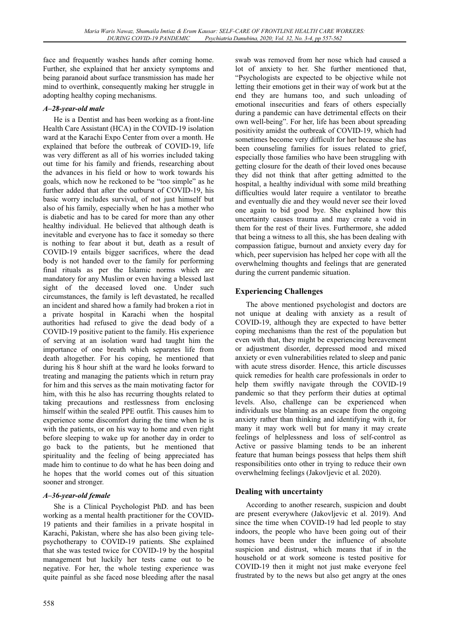face and frequently washes hands after coming home. Further, she explained that her anxiety symptoms and being paranoid about surface transmission has made her mind to overthink, consequently making her struggle in adopting healthy coping mechanisms.

### *A–28-year-old male*

He is a Dentist and has been working as a front-line Health Care Assistant (HCA) in the COVID-19 isolation ward at the Karachi Expo Center from over a month. He explained that before the outbreak of COVID-19, life was very different as all of his worries included taking out time for his family and friends, researching about the advances in his field or how to work towards his goals, which now he reckoned to be "too simple" as he further added that after the outburst of COVID-19, his basic worry includes survival, of not just himself but also of his family, especially when he has a mother who is diabetic and has to be cared for more than any other healthy individual. He believed that although death is inevitable and everyone has to face it someday so there is nothing to fear about it but, death as a result of COVID-19 entails bigger sacrifices, where the dead body is not handed over to the family for performing final rituals as per the Islamic norms which are mandatory for any Muslim or even having a blessed last sight of the deceased loved one. Under such circumstances, the family is left devastated, he recalled an incident and shared how a family had broken a riot in a private hospital in Karachi when the hospital authorities had refused to give the dead body of a COVID-19 positive patient to the family. His experience of serving at an isolation ward had taught him the importance of one breath which separates life from death altogether. For his coping, he mentioned that during his 8 hour shift at the ward he looks forward to treating and managing the patients which in return pray for him and this serves as the main motivating factor for him, with this he also has recurring thoughts related to taking precautions and restlessness from enclosing himself within the sealed PPE outfit. This causes him to experience some discomfort during the time when he is with the patients, or on his way to home and even right before sleeping to wake up for another day in order to go back to the patients, but he mentioned that spirituality and the feeling of being appreciated has made him to continue to do what he has been doing and he hopes that the world comes out of this situation sooner and stronger.

### *A–36-year-old female*

She is a Clinical Psychologist PhD. and has been working as a mental health practitioner for the COVID-19 patients and their families in a private hospital in Karachi, Pakistan, where she has also been giving telepsychotherapy to COVID-19 patients. She explained that she was tested twice for COVID-19 by the hospital management but luckily her tests came out to be negative. For her, the whole testing experience was quite painful as she faced nose bleeding after the nasal

swab was removed from her nose which had caused a lot of anxiety to her. She further mentioned that, "Psychologists are expected to be objective while not letting their emotions get in their way of work but at the end they are humans too, and such unloading of emotional insecurities and fears of others especially during a pandemic can have detrimental effects on their own well-being". For her, life has been about spreading positivity amidst the outbreak of COVID-19, which had sometimes become very difficult for her because she has been counseling families for issues related to grief, especially those families who have been struggling with getting closure for the death of their loved ones because they did not think that after getting admitted to the hospital, a healthy individual with some mild breathing difficulties would later require a ventilator to breathe and eventually die and they would never see their loved one again to bid good bye. She explained how this uncertainty causes trauma and may create a void in them for the rest of their lives. Furthermore, she added that being a witness to all this, she has been dealing with compassion fatigue, burnout and anxiety every day for which, peer supervision has helped her cope with all the overwhelming thoughts and feelings that are generated during the current pandemic situation.

## **Experiencing Challenges**

The above mentioned psychologist and doctors are not unique at dealing with anxiety as a result of COVID-19, although they are expected to have better coping mechanisms than the rest of the population but even with that, they might be experiencing bereavement or adjustment disorder, depressed mood and mixed anxiety or even vulnerabilities related to sleep and panic with acute stress disorder. Hence, this article discusses quick remedies for health care professionals in order to help them swiftly navigate through the COVID-19 pandemic so that they perform their duties at optimal levels. Also, challenge can be experienced when individuals use blaming as an escape from the ongoing anxiety rather than thinking and identifying with it, for many it may work well but for many it may create feelings of helplessness and loss of self-control as Active or passive blaming tends to be an inherent feature that human beings possess that helps them shift responsibilities onto other in trying to reduce their own overwhelming feelings (Jakovljevic et al. 2020).

### **Dealing with uncertainty**

According to another research, suspicion and doubt are present everywhere (Jakovljevic et al. 2019). And since the time when COVID-19 had led people to stay indoors, the people who have been going out of their homes have been under the influence of absolute suspicion and distrust, which means that if in the household or at work someone is tested positive for COVID-19 then it might not just make everyone feel frustrated by to the news but also get angry at the ones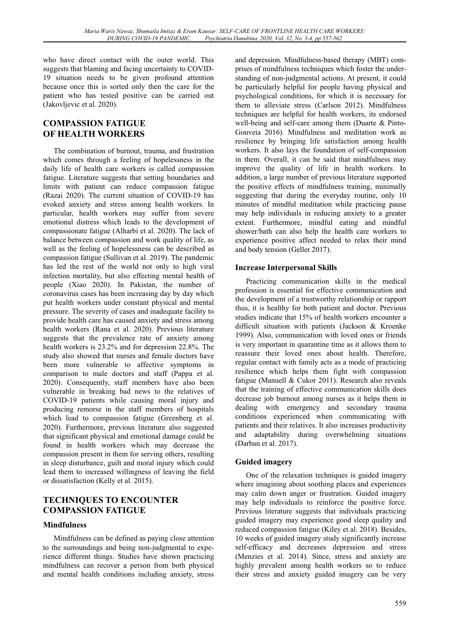who have direct contact with the outer world. This suggests that blaming and facing uncertainty to COVID-19 situation needs to be given profound attention because once this is sorted only then the care for the patient who has tested positive can be carried out (Jakovljevic et al. 2020).

## **COMPASSION FATIGUE OF HEALTH WORKERS**

The combination of burnout, trauma, and frustration which comes through a feeling of hopelessness in the daily life of health care workers is called compassion fatigue. Literature suggests that setting boundaries and limits with patient can reduce compassion fatigue (Razai 2020). The current situation of COVID-19 has evoked anxiety and stress among health workers. In particular, health workers may suffer from severe emotional distress which leads to the development of compassionate fatigue (Alharbi et al. 2020). The lack of balance between compassion and work quality of life, as well as the feeling of hopelessness can be described as compassion fatigue (Sullivan et al. 2019). The pandemic has led the rest of the world not only to high viral infection mortality, but also effecting mental health of people (Xiao 2020). In Pakistan, the number of coronavirus cases has been increasing day by day which put health workers under constant physical and mental pressure. The severity of cases and inadequate facility to provide health care has caused anxiety and stress among health workers (Rana et al. 2020). Previous literature suggests that the prevalence rate of anxiety among health workers is 23.2% and for depression 22.8%. The study also showed that nurses and female doctors have been more vulnerable to affective symptoms in comparison to male doctors and staff (Pappa et al. 2020). Consequently, staff members have also been vulnerable in breaking bad news to the relatives of COVID-19 patients while causing moral injury and producing remorse in the staff members of hospitals which lead to compassion fatigue (Greenberg et al. 2020). Furthermore, previous literature also suggested that significant physical and emotional damage could be found in health workers which may decrease the compassion present in them for serving others, resulting in sleep disturbance, guilt and moral injury which could lead them to increased willingness of leaving the field or dissatisfaction (Kelly et al. 2015).

## **TECHNIQUES TO ENCOUNTER COMPASSION FATIGUE**

### **Mindfulness**

Mindfulness can be defined as paying close attention to the surroundings and being non-judgmental to experience different things. Studies have shown practicing mindfulness can recover a person from both physical and mental health conditions including anxiety, stress and depression. Mindfulness-based therapy (MBT) comprises of mindfulness techniques which foster the understanding of non-judgmental actions. At present, it could be particularly helpful for people having physical and psychological conditions, for which it is necessary for them to alleviate stress (Carlson 2012). Mindfulness techniques are helpful for health workers, its endorsed well-being and self-care among them (Duarte & Pinto-Gouveia 2016). Mindfulness and meditation work as resilience by bringing life satisfaction among health workers. It also lays the foundation of self-compassion in them. Overall, it can be said that mindfulness may improve the quality of life in health workers. In addition, a large number of previous literature supported the positive effects of mindfulness training, minimally suggesting that during the everyday routine, only 10 minutes of mindful meditation while practicing pause may help individuals in reducing anxiety to a greater extent. Furthermore, mindful eating and mindful shower/bath can also help the health care workers to experience positive affect needed to relax their mind and body tension (Geller 2017).

### **Increase Interpersonal Skills**

Practicing communication skills in the medical profession is essential for effective communication and the development of a trustworthy relationship or rapport thus, it is healthy for both patient and doctor. Previous studies indicate that 15% of health workers encounter a difficult situation with patients (Jackson & Kroenke 1999). Also, communication with loved ones or friends is very important in quarantine time as it allows them to reassure their loved ones about health. Therefore, regular contact with family acts as a mode of practicing resilience which helps them fight with compassion fatigue (Manuell & Cukor 2011). Research also reveals that the training of effective communication skills does decrease job burnout among nurses as it helps them in dealing with emergency and secondary trauma conditions experienced when communicating with patients and their relatives. It also increases productivity and adaptability during overwhelming situations (Darban et al. 2017).

### **Guided imagery**

One of the relaxation techniques is guided imagery where imagining about soothing places and experiences may calm down anger or frustration. Guided imagery may help individuals to reinforce the positive force. Previous literature suggests that individuals practicing guided imagery may experience good sleep quality and reduced compassion fatigue (Kiley et al. 2018). Besides, 10 weeks of guided imagery study significantly increase self-efficacy and decreases depression and stress (Menzies et al. 2014). Since, stress and anxiety are highly prevalent among health workers so to reduce their stress and anxiety guided imagery can be very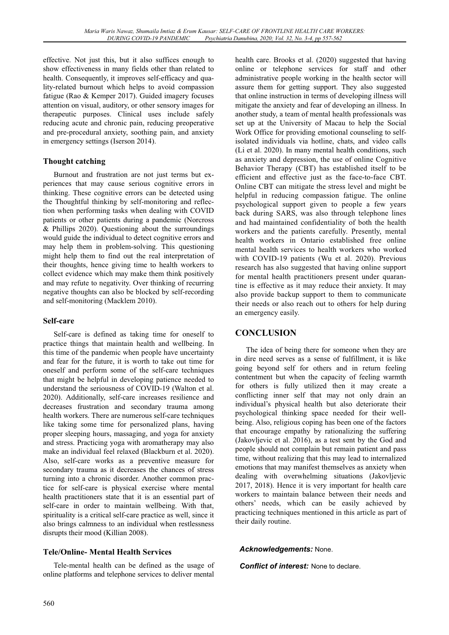effective. Not just this, but it also suffices enough to show effectiveness in many fields other than related to health. Consequently, it improves self-efficacy and quality-related burnout which helps to avoid compassion fatigue (Rao & Kemper 2017). Guided imagery focuses attention on visual, auditory, or other sensory images for therapeutic purposes. Clinical uses include safely reducing acute and chronic pain, reducing preoperative and pre-procedural anxiety, soothing pain, and anxiety in emergency settings (Iserson 2014).

## **Thought catching**

Burnout and frustration are not just terms but experiences that may cause serious cognitive errors in thinking. These cognitive errors can be detected using the Thoughtful thinking by self-monitoring and reflection when performing tasks when dealing with COVID patients or other patients during a pandemic (Norcross & Phillips 2020). Questioning about the surroundings would guide the individual to detect cognitive errors and may help them in problem-solving. This questioning might help them to find out the real interpretation of their thoughts, hence giving time to health workers to collect evidence which may make them think positively and may refute to negativity. Over thinking of recurring negative thoughts can also be blocked by self-recording and self-monitoring (Macklem 2010).

### **Self-care**

Self-care is defined as taking time for oneself to practice things that maintain health and wellbeing. In this time of the pandemic when people have uncertainty and fear for the future, it is worth to take out time for oneself and perform some of the self-care techniques that might be helpful in developing patience needed to understand the seriousness of COVID-19 (Walton et al. 2020). Additionally, self-care increases resilience and decreases frustration and secondary trauma among health workers. There are numerous self-care techniques like taking some time for personalized plans, having proper sleeping hours, massaging, and yoga for anxiety and stress. Practicing yoga with aromatherapy may also make an individual feel relaxed (Blackburn et al. 2020). Also, self-care works as a preventive measure for secondary trauma as it decreases the chances of stress turning into a chronic disorder. Another common practice for self-care is physical exercise where mental health practitioners state that it is an essential part of self-care in order to maintain wellbeing. With that, spirituality is a critical self-care practice as well, since it also brings calmness to an individual when restlessness disrupts their mood (Killian 2008).

### **Tele/Online- Mental Health Services**

Tele-mental health can be defined as the usage of online platforms and telephone services to deliver mental

health care. Brooks et al. (2020) suggested that having online or telephone services for staff and other administrative people working in the health sector will assure them for getting support. They also suggested that online instruction in terms of developing illness will mitigate the anxiety and fear of developing an illness. In another study, a team of mental health professionals was set up at the University of Macau to help the Social Work Office for providing emotional counseling to selfisolated individuals via hotline, chats, and video calls (Li et al. 2020). In many mental health conditions, such as anxiety and depression, the use of online Cognitive Behavior Therapy (CBT) has established itself to be efficient and effective just as the face-to-face CBT. Online CBT can mitigate the stress level and might be helpful in reducing compassion fatigue. The online psychological support given to people a few years back during SARS, was also through telephone lines and had maintained confidentiality of both the health workers and the patients carefully. Presently, mental health workers in Ontario established free online mental health services to health workers who worked with COVID-19 patients (Wu et al. 2020). Previous research has also suggested that having online support for mental health practitioners present under quarantine is effective as it may reduce their anxiety. It may also provide backup support to them to communicate their needs or also reach out to others for help during an emergency easily.

## **CONCLUSION**

The idea of being there for someone when they are in dire need serves as a sense of fulfillment, it is like going beyond self for others and in return feeling contentment but when the capacity of feeling warmth for others is fully utilized then it may create a conflicting inner self that may not only drain an individual's physical health but also deteriorate their psychological thinking space needed for their wellbeing. Also, religious coping has been one of the factors that encourage empathy by rationalizing the suffering (Jakovljevic et al. 2016), as a test sent by the God and people should not complain but remain patient and pass time, without realizing that this may lead to internalized emotions that may manifest themselves as anxiety when dealing with overwhelming situations (Jakovljevic 2017, 2018). Hence it is very important for health care workers to maintain balance between their needs and others' needs, which can be easily achieved by practicing techniques mentioned in this article as part of their daily routine.

### *Acknowledgements:* None.

*Conflict of interest:* None to declare.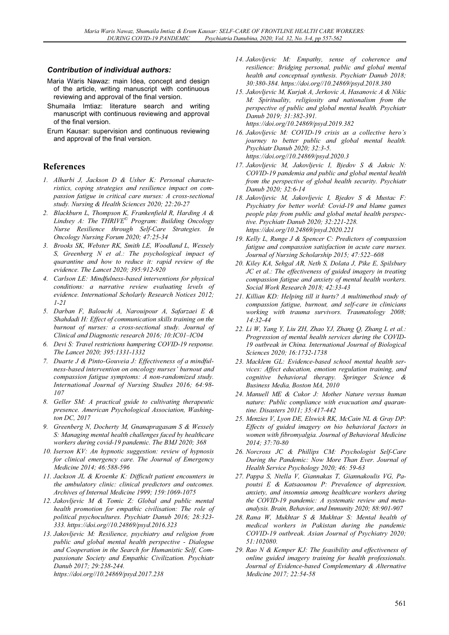#### *Contribution of individual authors:*

- Maria Waris Nawaz: main Idea, concept and design of the article, writing manuscript with continuous reviewing and approval of the final version.
- Shumaila Imtiaz: literature search and writing manuscript with continuous reviewing and approval of the final version.
- Erum Kausar: supervision and continuous reviewing and approval of the final version.

#### **References**

- *1. Alharbi J, Jackson D & Usher K: Personal characteristics, coping strategies and resilience impact on compassion fatigue in critical care nurses: A cross-sectional study. Nursing & Health Sciences 2020; 22:20-27*
- *2. Blackburn L, Thompson K, Frankenfield R, Harding A & Lindsey A: The THRIVE© Program: Building Oncology Nurse Resilience through Self-Care Strategies. In Oncology Nursing Forum 2020; 47:25-34*
- *3. Brooks SK, Webster RK, Smith LE, Woodland L, Wessely S, Greenberg N et al.: The psychological impact of quarantine and how to reduce it: rapid review of the evidence. The Lancet 2020; 395:912-920*
- *4. Carlson LE: Mindfulness-based interventions for physical conditions: a narrative review evaluating levels of evidence. International Scholarly Research Notices 2012; 1-21*
- *5. Darban F, Balouchi A, Narouipour A, Safarzaei E & Shahdadi H: Effect of communication skills training on the burnout of nurses: a cross-sectional study. Journal of Clinical and Diagnostic research 2016; 10:IC01–IC04*
- *6. Devi S: Travel restrictions hampering COVID-19 response. The Lancet 2020; 395:1331-1332*
- *7. Duarte J & Pinto-Gouveia J: Effectiveness of a mindfulness-based intervention on oncology nurses' burnout and compassion fatigue symptoms: A non-randomized study. International Journal of Nursing Studies 2016; 64:98- 107*
- *8. Geller SM: A practical guide to cultivating therapeutic presence. American Psychological Association, Washington DC, 2017*
- *9. Greenberg N, Docherty M, Gnanapragasam S & Wessely S: Managing mental health challenges faced by healthcare workers during covid-19 pandemic. The BMJ 2020; 368*
- *10. Iserson KV: An hypnotic suggestion: review of hypnosis for clinical emergency care. The Journal of Emergency Medicine 2014; 46:588-596*
- *11. Jackson JL & Kroenke K: Difficult patient encounters in the ambulatory clinic: clinical predictors and outcomes. Archives of Internal Medicine 1999; 159:1069-1075*
- *12. Jakovljevic M & Tomic Z: Global and public mental health promotion for empathic civilisation: The role of political psychocultures. Psychiatr Danub 2016; 28:323- 333. https://doi.org//10.24869/psyd.2016.323*
- *13. Jakovljevic M: Resilience, psychiatry and religion from public and global mental health perspective - Dialogue and Cooperation in the Search for Humanistic Self, Compassionate Society and Empathic Civilization. Psychiatr Danub 2017; 29:238-244. https://doi.org//10.24869/psyd.2017.238*
- *14. Jakovljevic M: Empathy, sense of coherence and resilience: Bridging personal, public and global mental health and conceptual synthesis. Psychiatr Danub 2018; 30:380-384. https://doi.org//10.24869/psyd.2018.380*
- *15. Jakovljevic M, Kurjak A, Jerkovic A, Hasanovic A & Nikic M: Spirituality, religiosity and nationalism from the perspective of public and global mental health. Psychiatr Danub 2019; 31:382-391. https://doi.org/10.24869/psyd.2019.382*
- *16. Jakovljevic M: COVID-19 crisis as a collective hero's journey to better public and global mental health. Psychiatr Danub 2020; 32:3-5. https://doi.org//10.24869/psyd.2020.3*
- *17. Jakovljevic M, Jakovljevic I, Bjedov S & Jaksic N: COVID-19 pandemia and public and global mental health from the perspective of global health security. Psychiatr Danub 2020; 32:6-14*
- *18. Jakovljevic M, Jakovljevic I, Bjedov S & Mustac F: Psychiatry for better world: Covid-19 and blame games people play from public and global metal health perspective. Psychiatr Danub 2020; 32:221-228. https://doi.org/10.24869/psyd.2020.221*
- *19. Kelly L, Runge J & Spencer C: Predictors of compassion fatigue and compassion satisfaction in acute care nurses. Journal of Nursing Scholarship 2015; 47:522–608*
- *20. Kiley KA, Sehgal AR, Neth S, Dolata J, Pike E, Spilsbury JC et al.: The effectiveness of guided imagery in treating compassion fatigue and anxiety of mental health workers. Social Work Research 2018; 42:33-43*
- *21. Killian KD: Helping till it hurts? A multimethod study of compassion fatigue, burnout, and self-care in clinicians working with trauma survivors. Traumatology 2008; 14:32-44*
- *22. Li W, Yang Y, Liu ZH, Zhao YJ, Zhang Q, Zhang L et al.: Progression of mental health services during the COVID-19 outbreak in China. International Journal of Biological Sciences 2020; 16:1732-1738*
- *23. Macklem GL: Evidence-based school mental health services: Affect education, emotion regulation training, and cognitive behavioral therapy. Springer Science & Business Media, Boston MA, 2010*
- *24. Manuell ME & Cukor J: Mother Nature versus human nature: Public compliance with evacuation and quarantine. Disasters 2011; 35:417-442*
- *25. Menzies V, Lyon DE, Elswick RK, McCain NL & Gray DP: Effects of guided imagery on bio behavioral factors in women with fibromyalgia. Journal of Behavioral Medicine 2014; 37:70-80*
- *26. Norcross JC & Phillips CM: Psychologist Self-Care During the Pandemic: Now More Than Ever. Journal of Health Service Psychology 2020; 46: 59-63*
- *27. Pappa S, Ntella V, Giannakas T, Giannakoulis VG, Papoutsi E & Katsaounou P: Prevalence of depression, anxiety, and insomnia among healthcare workers during the COVID-19 pandemic: A systematic review and metaanalysis. Brain, Behavior, and Immunity 2020; 88:901-907*
- *28. Rana W, Mukhtar S & Mukhtar S: Mental health of medical workers in Pakistan during the pandemic COVID-19 outbreak. Asian Journal of Psychiatry 2020; 51:102080.*
- *29. Rao N & Kemper KJ: The feasibility and effectiveness of online guided imagery training for health professionals. Journal of Evidence-based Complementary & Alternative Medicine 2017; 22:54-58*